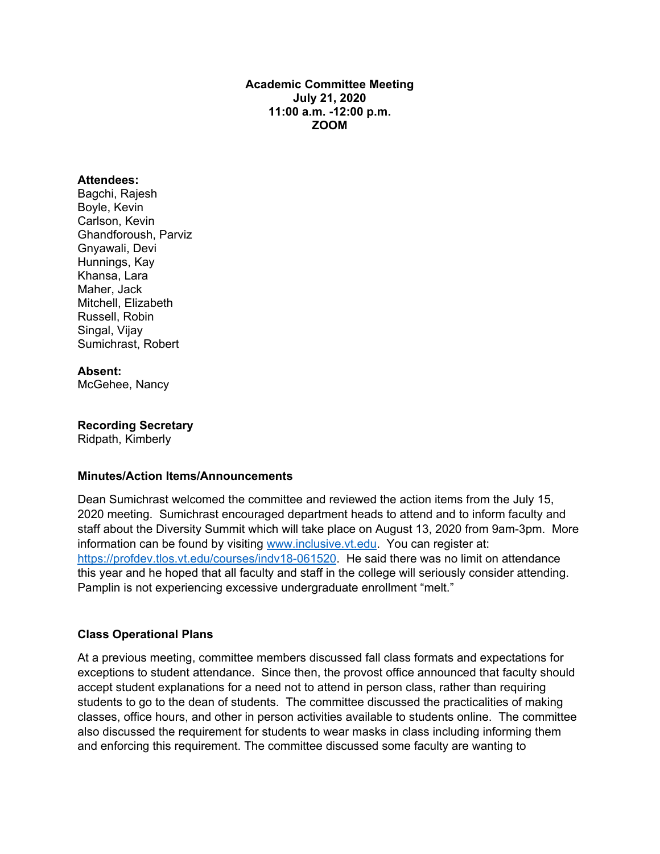#### **Academic Committee Meeting July 21, 2020 11:00 a.m. -12:00 p.m. ZOOM**

#### **Attendees:**

Bagchi, Rajesh Boyle, Kevin Carlson, Kevin Ghandforoush, Parviz Gnyawali, Devi Hunnings, Kay Khansa, Lara Maher, Jack Mitchell, Elizabeth Russell, Robin Singal, Vijay Sumichrast, Robert

**Absent:** McGehee, Nancy

**Recording Secretary**

Ridpath, Kimberly

#### **Minutes/Action Items/Announcements**

Dean Sumichrast welcomed the committee and reviewed the action items from the July 15, 2020 meeting. Sumichrast encouraged department heads to attend and to inform faculty and staff about the Diversity Summit which will take place on August 13, 2020 from 9am-3pm. More information can be found by visiting [www.inclusive.vt.edu.](http://www.inclusive.vt.edu/) You can register at: [https://profdev.tlos.vt.edu/courses/indv18-061520.](https://profdev.tlos.vt.edu/courses/indv18-061520) He said there was no limit on attendance this year and he hoped that all faculty and staff in the college will seriously consider attending. Pamplin is not experiencing excessive undergraduate enrollment "melt."

#### **Class Operational Plans**

At a previous meeting, committee members discussed fall class formats and expectations for exceptions to student attendance. Since then, the provost office announced that faculty should accept student explanations for a need not to attend in person class, rather than requiring students to go to the dean of students. The committee discussed the practicalities of making classes, office hours, and other in person activities available to students online. The committee also discussed the requirement for students to wear masks in class including informing them and enforcing this requirement. The committee discussed some faculty are wanting to